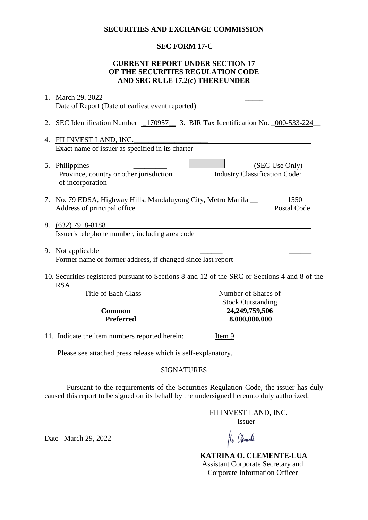#### **SECURITIES AND EXCHANGE COMMISSION**

# **SEC FORM 17-C**

### **CURRENT REPORT UNDER SECTION 17 OF THE SECURITIES REGULATION CODE AND SRC RULE 17.2(c) THEREUNDER**

| 1.                                                                                                          | March 29, 2022                                                             |                                      |                    |  |
|-------------------------------------------------------------------------------------------------------------|----------------------------------------------------------------------------|--------------------------------------|--------------------|--|
|                                                                                                             | Date of Report (Date of earliest event reported)                           |                                      |                    |  |
| 2.                                                                                                          | SEC Identification Number 170957 3. BIR Tax Identification No. 000-533-224 |                                      |                    |  |
| 4.                                                                                                          | FILINVEST LAND, INC.                                                       |                                      |                    |  |
|                                                                                                             | Exact name of issuer as specified in its charter                           |                                      |                    |  |
| 5.                                                                                                          | Philippines<br>Province, country or other jurisdiction<br>of incorporation | <b>Industry Classification Code:</b> | (SEC Use Only)     |  |
| 7.                                                                                                          | No. 79 EDSA, Highway Hills, Mandaluyong City, Metro Manila                 |                                      | 1550               |  |
|                                                                                                             | Address of principal office                                                |                                      | <b>Postal Code</b> |  |
| 8.                                                                                                          | $(632)$ 7918-8188<br>Issuer's telephone number, including area code        |                                      |                    |  |
|                                                                                                             | 9. Not applicable                                                          |                                      |                    |  |
|                                                                                                             | Former name or former address, if changed since last report                |                                      |                    |  |
| 10. Securities registered pursuant to Sections 8 and 12 of the SRC or Sections 4 and 8 of the<br><b>RSA</b> |                                                                            |                                      |                    |  |
|                                                                                                             | <b>Title of Each Class</b>                                                 | Number of Shares of                  |                    |  |
| <b>Stock Outstanding</b><br>24,249,759,506<br><b>Common</b>                                                 |                                                                            |                                      |                    |  |
|                                                                                                             | <b>Preferred</b>                                                           | 8,000,000,000                        |                    |  |
|                                                                                                             |                                                                            |                                      |                    |  |
|                                                                                                             | 11. Indicate the item numbers reported herein:                             | Item 9                               |                    |  |
|                                                                                                             | Please see attached press release which is self-explanatory.               |                                      |                    |  |

### SIGNATURES

Pursuant to the requirements of the Securities Regulation Code, the issuer has duly caused this report to be signed on its behalf by the undersigned hereunto duly authorized.

FILINVEST LAND, INC.

Issuer

Date March 29, 2022

Ko Olemente

 **KATRINA O. CLEMENTE-LUA** Assistant Corporate Secretary and Corporate Information Officer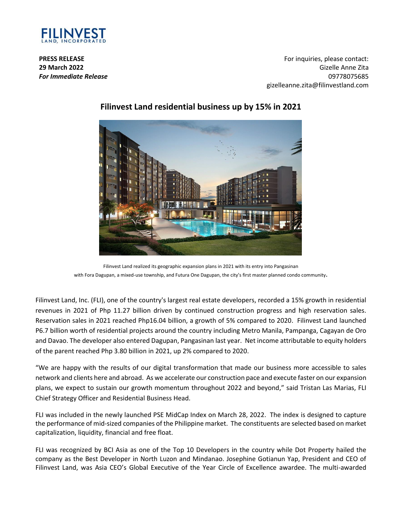

**PRESS RELEASE 29 March 2022** *For Immediate Release*

For inquiries, please contact: Gizelle Anne Zita 09778075685 gizelleanne.zita@filinvestland.com



# **Filinvest Land residential business up by 15% in 2021**

Filinvest Land realized its geographic expansion plans in 2021 with its entry into Pangasinan with Fora Dagupan, a mixed-use township, and Futura One Dagupan, the city's first master planned condo community.

Filinvest Land, Inc. (FLI), one of the country's largest real estate developers, recorded a 15% growth in residential revenues in 2021 of Php 11.27 billion driven by continued construction progress and high reservation sales. Reservation sales in 2021 reached Php16.04 billion, a growth of 5% compared to 2020. Filinvest Land launched P6.7 billion worth of residential projects around the country including Metro Manila, Pampanga, Cagayan de Oro and Davao. The developer also entered Dagupan, Pangasinan last year. Net income attributable to equity holders of the parent reached Php 3.80 billion in 2021, up 2% compared to 2020.

"We are happy with the results of our digital transformation that made our business more accessible to sales network and clients here and abroad. As we accelerate our construction pace and execute faster on our expansion plans, we expect to sustain our growth momentum throughout 2022 and beyond," said Tristan Las Marias, FLI Chief Strategy Officer and Residential Business Head.

FLI was included in the newly launched PSE MidCap Index on March 28, 2022. The index is designed to capture the performance of mid-sized companies of the Philippine market. The constituents are selected based on market capitalization, liquidity, financial and free float.

FLI was recognized by BCI Asia as one of the Top 10 Developers in the country while Dot Property hailed the company as the Best Developer in North Luzon and Mindanao. Josephine Gotianun Yap, President and CEO of Filinvest Land, was Asia CEO's Global Executive of the Year Circle of Excellence awardee. The multi-awarded